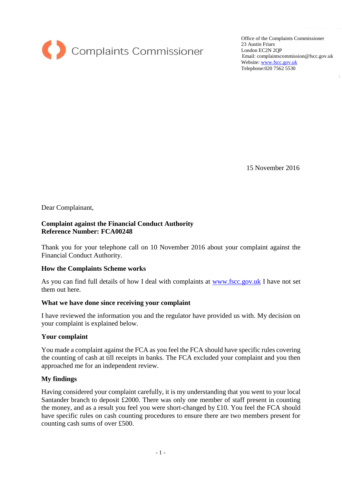

Office of the Complaints Commissioner 23 Austin Friars London EC2N 2QP Email: complaintscommission@fscc.gov.uk Website[: www.fscc.gov.uk](http://www.fscc.gov.uk/) Telephone:020 7562 5530

15 November 2016

Dear Complainant,

# **Complaint against the Financial Conduct Authority Reference Number: FCA00248**

Thank you for your telephone call on 10 November 2016 about your complaint against the Financial Conduct Authority.

## **How the Complaints Scheme works**

As you can find full details of how I deal with complaints at [www.fscc.gov.uk](http://www.fscc.gov.uk/) I have not set them out here.

## **What we have done since receiving your complaint**

I have reviewed the information you and the regulator have provided us with. My decision on your complaint is explained below.

## **Your complaint**

You made a complaint against the FCA as you feel the FCA should have specific rules covering the counting of cash at till receipts in banks. The FCA excluded your complaint and you then approached me for an independent review.

# **My findings**

Having considered your complaint carefully, it is my understanding that you went to your local Santander branch to deposit £2000. There was only one member of staff present in counting the money, and as a result you feel you were short-changed by £10. You feel the FCA should have specific rules on cash counting procedures to ensure there are two members present for counting cash sums of over £500.